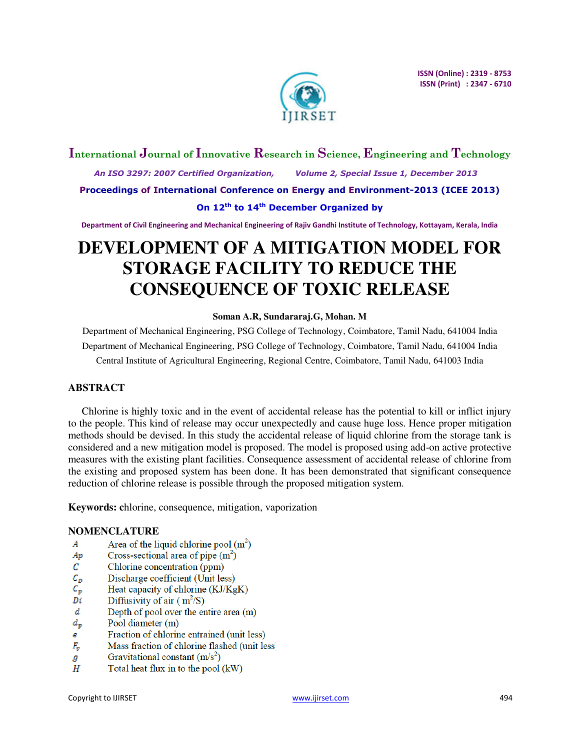

# **International Journal of Innovative Research in Science, Engineering and Technology**

 *An ISO 3297: 2007 Certified Organization, Volume 2, Special Issue 1, December 2013*  **Proceedings of International Conference on Energy and Environment-2013 (ICEE 2013)** 

## **On 12th to 14th December Organized by**

**Department of Civil Engineering and Mechanical Engineering of Rajiv Gandhi Institute of Technology, Kottayam, Kerala, India** 

# **DEVELOPMENT OF A MITIGATION MODEL FOR STORAGE FACILITY TO REDUCE THE CONSEQUENCE OF TOXIC RELEASE**

## **Soman A.R, Sundararaj.G, Mohan. M**

Department of Mechanical Engineering, PSG College of Technology, Coimbatore, Tamil Nadu, 641004 India Department of Mechanical Engineering, PSG College of Technology, Coimbatore, Tamil Nadu, 641004 India Central Institute of Agricultural Engineering, Regional Centre, Coimbatore, Tamil Nadu, 641003 India

## **ABSTRACT**

Chlorine is highly toxic and in the event of accidental release has the potential to kill or inflict injury to the people. This kind of release may occur unexpectedly and cause huge loss. Hence proper mitigation methods should be devised. In this study the accidental release of liquid chlorine from the storage tank is considered and a new mitigation model is proposed. The model is proposed using add-on active protective measures with the existing plant facilities. Consequence assessment of accidental release of chlorine from the existing and proposed system has been done. It has been demonstrated that significant consequence reduction of chlorine release is possible through the proposed mitigation system.

**Keywords: c**hlorine, consequence, mitigation, vaporization

## **NOMENCLATURE**

- $\boldsymbol{A}$ Area of the liquid chlorine pool  $(m^2)$
- Ap Cross-sectional area of pipe  $(m<sup>2</sup>)$
- С Chlorine concentration (ppm)
- $c_{p}$ Discharge coefficient (Unit less)
- $\mathcal{C}_{\bm{p}}$ Heat capacity of chlorine (KJ/KgK)
- Di Diffusivity of air  $(m^2/S)$
- d Depth of pool over the entire area (m)
- Pool diameter (m)  $d_{p}$
- Fraction of chlorine entrained (unit less) e
- Mass fraction of chlorine flashed (unit less)  $F_v$
- Gravitational constant  $(m/s^2)$ g
- Η Total heat flux in to the pool (kW)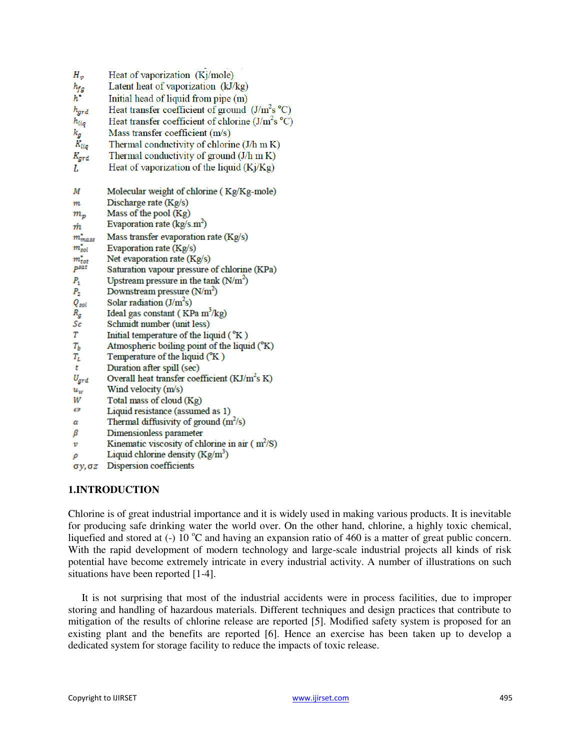| Heat of vaporization (Kj/mole)                      |
|-----------------------------------------------------|
| Latent heat of vaporization (kJ/kg)                 |
| Initial head of liquid from pipe (m)                |
| Heat transfer coefficient of ground $(J/m2soC)$     |
| Heat transfer coefficient of chlorine $(J/m^2s$ °C) |
| Mass transfer coefficient (m/s)                     |
| Thermal conductivity of chlorine (J/h m K)          |
| Thermal conductivity of ground $(J/h \text{ m K})$  |
| Heat of vaporization of the liquid $(Ki/Kg)$        |
|                                                     |
| Molecular weight of chlorine (Kg/Kg-mole)           |
| Discharge rate (Kg/s)                               |
| Mass of the pool (Kg)                               |
| Evaporation rate ( $\text{kg/s.m}^2$ )              |
| Mass transfer evaporation rate (Kg/s)               |
| Evaporation rate (Kg/s)                             |
| Net evaporation rate (Kg/s)                         |
| Saturation vapour pressure of chlorine (KPa)        |
| Upstream pressure in the tank $(N/m^2)$             |
| Downstream pressure $(N/m^2)$                       |
| Solar radiation $(J/m^2s)$                          |
| Ideal gas constant (KPa m <sup>3</sup> /kg)         |
| Schmidt number (unit less)                          |
| Initial temperature of the liquid $({}^{\circ}K)$   |
| Atmospheric boiling point of the liquid (°K)        |
| Temperature of the liquid (°K)                      |
| Duration after spill (sec)                          |
| Overall heat transfer coefficient $(KJ/m2s K)$      |
| Wind velocity (m/s)                                 |
| Total mass of cloud (Kg)                            |
| Liquid resistance (assumed as 1)                    |
| Thermal diffusivity of ground $(m^2/s)$             |
| Dimensionless parameter                             |
| Kinematic viscosity of chlorine in air $(m^2/S)$    |
| Liquid chlorine density $(Kg/m^3)$                  |
| Dispersion coefficients                             |
|                                                     |

## **1.INTRODUCTION**

Chlorine is of great industrial importance and it is widely used in making various products. It is inevitable for producing safe drinking water the world over. On the other hand, chlorine, a highly toxic chemical, liquefied and stored at  $(-) 10^{\circ}$ C and having an expansion ratio of 460 is a matter of great public concern. With the rapid development of modern technology and large-scale industrial projects all kinds of risk potential have become extremely intricate in every industrial activity. A number of illustrations on such situations have been reported [1-4].

It is not surprising that most of the industrial accidents were in process facilities, due to improper storing and handling of hazardous materials. Different techniques and design practices that contribute to mitigation of the results of chlorine release are reported [5]. Modified safety system is proposed for an existing plant and the benefits are reported [6]. Hence an exercise has been taken up to develop a dedicated system for storage facility to reduce the impacts of toxic release.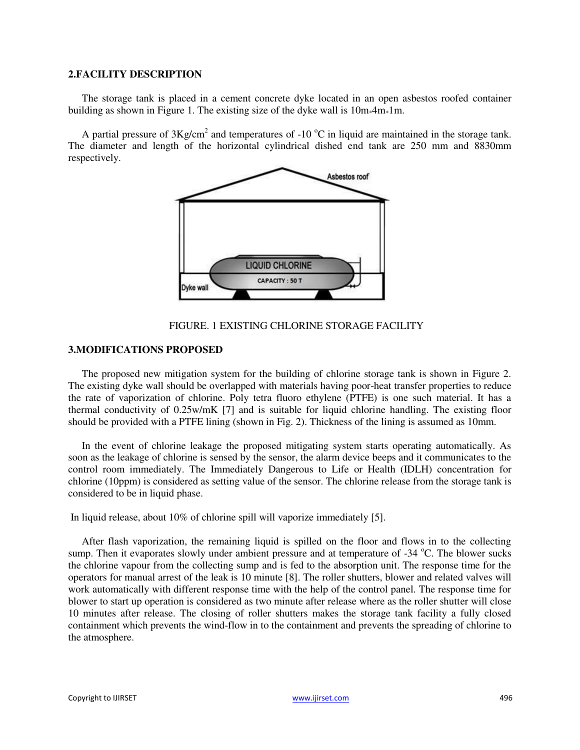#### **2.FACILITY DESCRIPTION**

The storage tank is placed in a cement concrete dyke located in an open asbestos roofed container building as shown in Figure 1. The existing size of the dyke wall is  $10m*4m*1m$ .

A partial pressure of  $3Kg/cm^2$  and temperatures of -10 °C in liquid are maintained in the storage tank. The diameter and length of the horizontal cylindrical dished end tank are 250 mm and 8830mm respectively.



#### FIGURE. 1 EXISTING CHLORINE STORAGE FACILITY

#### **3.MODIFICATIONS PROPOSED**

The proposed new mitigation system for the building of chlorine storage tank is shown in Figure 2. The existing dyke wall should be overlapped with materials having poor-heat transfer properties to reduce the rate of vaporization of chlorine. Poly tetra fluoro ethylene (PTFE) is one such material. It has a thermal conductivity of 0.25w/mK [7] and is suitable for liquid chlorine handling. The existing floor should be provided with a PTFE lining (shown in Fig. 2). Thickness of the lining is assumed as 10mm.

In the event of chlorine leakage the proposed mitigating system starts operating automatically. As soon as the leakage of chlorine is sensed by the sensor, the alarm device beeps and it communicates to the control room immediately. The Immediately Dangerous to Life or Health (IDLH) concentration for chlorine (10ppm) is considered as setting value of the sensor. The chlorine release from the storage tank is considered to be in liquid phase.

In liquid release, about 10% of chlorine spill will vaporize immediately [5].

After flash vaporization, the remaining liquid is spilled on the floor and flows in to the collecting sump. Then it evaporates slowly under ambient pressure and at temperature of  $-34^{\circ}$ C. The blower sucks the chlorine vapour from the collecting sump and is fed to the absorption unit. The response time for the operators for manual arrest of the leak is 10 minute [8]. The roller shutters, blower and related valves will work automatically with different response time with the help of the control panel. The response time for blower to start up operation is considered as two minute after release where as the roller shutter will close 10 minutes after release. The closing of roller shutters makes the storage tank facility a fully closed containment which prevents the wind-flow in to the containment and prevents the spreading of chlorine to the atmosphere.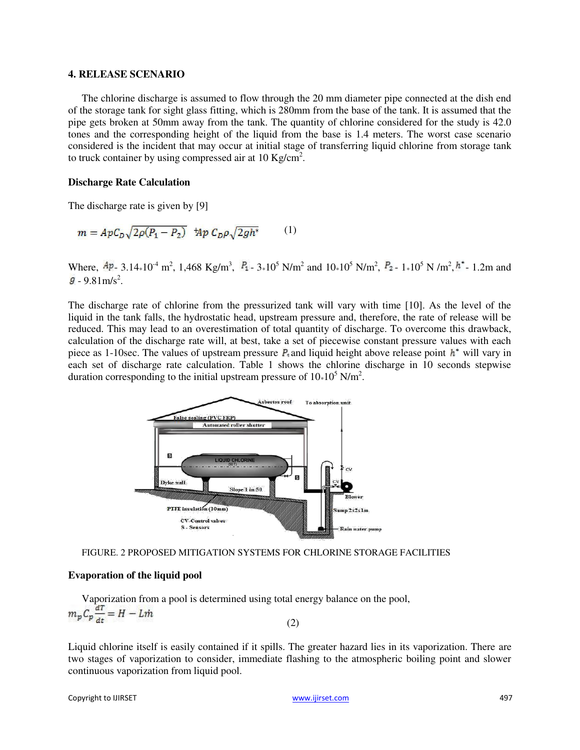#### **4. RELEASE SCENARIO**

The chlorine discharge is assumed to flow through the 20 mm diameter pipe connected at the dish end of the storage tank for sight glass fitting, which is 280mm from the base of the tank. It is assumed that the pipe gets broken at 50mm away from the tank. The quantity of chlorine considered for the study is 42.0 tones and the corresponding height of the liquid from the base is 1.4 meters. The worst case scenario considered is the incident that may occur at initial stage of transferring liquid chlorine from storage tank to truck container by using compressed air at 10 Kg/cm<sup>2</sup>.

#### **Discharge Rate Calculation**

The discharge rate is given by [9]

$$
m = ApC_D\sqrt{2\rho(P_1 - P_2)} \quad \text{Mp } C_D\rho\sqrt{2gh^*} \tag{1}
$$

Where,  $\frac{Ap}{2}$ , 3.14 $\ast$ 10<sup>4</sup> m<sup>2</sup>, 1,468 Kg/m<sup>3</sup>,  $P_1$  - 3 $\ast$ 10<sup>5</sup> N/m<sup>2</sup> and 10 $\ast$ 10<sup>5</sup> N/m<sup>2</sup>,  $P_2$  - 1 $\ast$ 10<sup>5</sup> N/m<sup>2</sup>,  $h^*$  - 1.2m and  $-9.81 \text{m/s}^2$ .

The discharge rate of chlorine from the pressurized tank will vary with time [10]. As the level of the liquid in the tank falls, the hydrostatic head, upstream pressure and, therefore, the rate of release will be reduced. This may lead to an overestimation of total quantity of discharge. To overcome this drawback, calculation of the discharge rate will, at best, take a set of piecewise constant pressure values with each piece as 1-10sec. The values of upstream pressure  $P_t$  and liquid height above release point  $h^*$  will vary in each set of discharge rate calculation. Table 1 shows the chlorine discharge in 10 seconds stepwise duration corresponding to the initial upstream pressure of  $10*10<sup>5</sup> N/m<sup>2</sup>$ .



FIGURE. 2 PROPOSED MITIGATION SYSTEMS FOR CHLORINE STORAGE FACILITIES

#### **Evaporation of the liquid pool**

Vaporization from a pool is determined using total energy balance on the pool,<br> $m_p C_p \frac{dT}{dt} = H - L\dot{m}$ (2)

Liquid chlorine itself is easily contained if it spills. The greater hazard lies in its vaporization. There are two stages of vaporization to consider, immediate flashing to the atmospheric boiling point and slower continuous vaporization from liquid pool.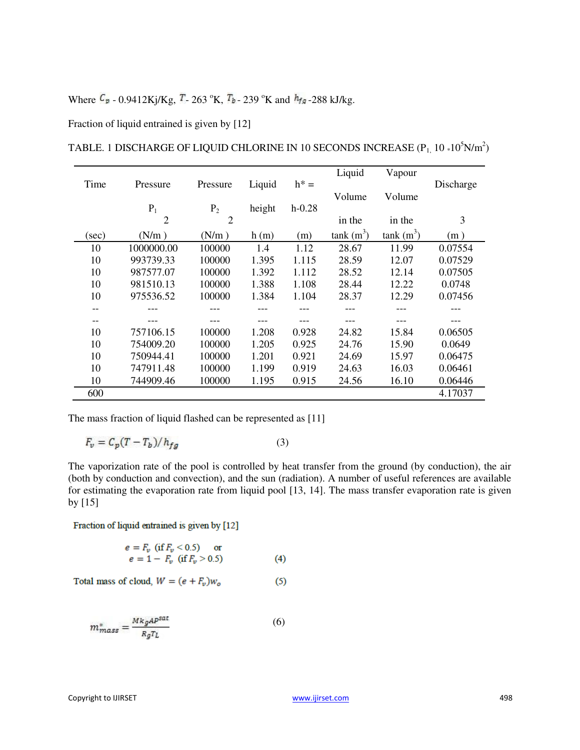## Where  $C_p$  - 0.9412Kj/Kg,  $T_2$  - 263 °K,  $T_b$  - 239 °K and  $h_{fa}$  - 288 kJ/kg.

Fraction of liquid entrained is given by [12]

|       |                |                |        |          | Liquid      | Vapour      |           |
|-------|----------------|----------------|--------|----------|-------------|-------------|-----------|
| Time  | Pressure       | Pressure       | Liquid | $h^* =$  |             |             | Discharge |
|       |                |                |        |          | Volume      | Volume      |           |
|       | $P_1$          | P <sub>2</sub> | height | $h-0.28$ |             |             |           |
|       | $\overline{2}$ | 2              |        |          | in the      | in the      | 3         |
| (sec) | (N/m)          | (N/m)          | h(m)   | (m)      | $tank(m^3)$ | $tank(m^3)$ | (m)       |
| 10    | 1000000.00     | 100000         | 1.4    | 1.12     | 28.67       | 11.99       | 0.07554   |
| 10    | 993739.33      | 100000         | 1.395  | 1.115    | 28.59       | 12.07       | 0.07529   |
| 10    | 987577.07      | 100000         | 1.392  | 1.112    | 28.52       | 12.14       | 0.07505   |
| 10    | 981510.13      | 100000         | 1.388  | 1.108    | 28.44       | 12.22       | 0.0748    |
| 10    | 975536.52      | 100000         | 1.384  | 1.104    | 28.37       | 12.29       | 0.07456   |
| --    |                |                |        |          | ---         |             |           |
| --    |                |                |        |          |             |             |           |
| 10    | 757106.15      | 100000         | 1.208  | 0.928    | 24.82       | 15.84       | 0.06505   |
| 10    | 754009.20      | 100000         | 1.205  | 0.925    | 24.76       | 15.90       | 0.0649    |
| 10    | 750944.41      | 100000         | 1.201  | 0.921    | 24.69       | 15.97       | 0.06475   |
| 10    | 747911.48      | 100000         | 1.199  | 0.919    | 24.63       | 16.03       | 0.06461   |
| 10    | 744909.46      | 100000         | 1.195  | 0.915    | 24.56       | 16.10       | 0.06446   |
| 600   |                |                |        |          |             |             | 4.17037   |

TABLE. 1 DISCHARGE OF LIQUID CHLORINE IN 10 SECONDS INCREASE (P $_{\rm 1}$ , 10  $\rm{*10^5}N/m^2)$ 

The mass fraction of liquid flashed can be represented as [11]

$$
F_v = C_p (T - T_b) / h_{fg} \tag{3}
$$

The vaporization rate of the pool is controlled by heat transfer from the ground (by conduction), the air (both by conduction and convection), and the sun (radiation). A number of useful references are available for estimating the evaporation rate from liquid pool [13, 14]. The mass transfer evaporation rate is given by [15]

Fraction of liquid entrained is given by [12]

$$
e = F_v \text{ (if } F_v < 0.5) \text{ or } e = 1 - F_v \text{ (if } F_v > 0.5)
$$
 (4)

$$
Total mass of cloud, W = (e + F_v)w_o \tag{5}
$$

$$
m_{mass}^* = \frac{Mk_g A P^{sat}}{R_g T_L} \tag{6}
$$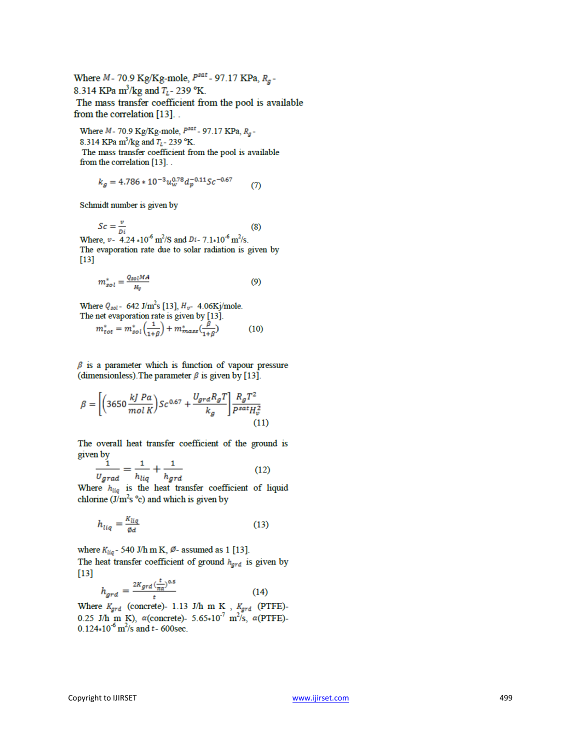Where  $M$ - 70.9 Kg/Kg-mole,  $P<sup>sat</sup>$ - 97.17 KPa,  $R<sub>a</sub>$ -8.314 KPa m<sup>3</sup>/kg and  $T_{L}$ - 239 °K. The mass transfer coefficient from the pool is available from the correlation [13]...

Where  $M - 70.9$  Kg/Kg-mole,  $P<sup>sat</sup> - 97.17$  KPa,  $R<sub>a</sub>$ -8.314 KPa m<sup>3</sup>/kg and  $T_L$ - 239 °K. The mass transfer coefficient from the pool is available from the correlation [13]...

$$
k_g = 4.786 * 10^{-3} u_w^{0.78} d_p^{-0.11} Sc^{-0.67}
$$
 (7)

Schmidt number is given by

 $Sc = \frac{v}{Di}$ <br>Where,  $v = 4.24 * 10^{-6}$  m<sup>2</sup>/S and  $Di = 7.1 * 10^{-6}$  m<sup>2</sup>/s.  $(8)$ The evaporation rate due to solar radiation is given by  $[13]$ 

$$
m_{sol}^* = \frac{Q_{sol}MA}{H_v} \tag{9}
$$

Where  $Q_{sol}$  - 642 J/m<sup>2</sup>s [13],  $H_{v}$ - 4.06Kj/mole. The net evaporation rate is given by [13].

$$
m_{tot}^* = m_{sol}^* \left(\frac{1}{1+\beta}\right) + m_{mass}^* \left(\frac{\beta}{1+\beta}\right) \tag{10}
$$

 $\beta$  is a parameter which is function of vapour pressure (dimensionless). The parameter  $\beta$  is given by [13].

$$
\beta = \left[ \left( 3650 \frac{kJ\ Pa}{mol\ K} \right) Sc^{0.67} + \frac{U_{grd}R_gT}{k_g} \right] \frac{R_gT^2}{P^{sat}H_v^2} \tag{11}
$$

The overall heat transfer coefficient of the ground is given by

$$
\frac{1}{v_{grad}} = \frac{1}{h_{liq}} + \frac{1}{h_{grd}} \tag{12}
$$

Where  $h_{liq}$  is the heat transfer coefficient of liquid chlorine  $(J/m^2s$  °c) and which is given by

$$
h_{liq} = \frac{\kappa_{liq}}{\varphi d} \tag{13}
$$

where  $K_{liq}$  - 540 J/h m K,  $\emptyset$ - assumed as 1 [13]. The heat transfer coefficient of ground  $h_{grd}$  is given by  $[13]$ 

$$
h_{grd} = \frac{2K_{grd} \left(\frac{t}{\pi\alpha}\right)^{0.5}}{t} \tag{14}
$$

Where  $K_{grd}$  (concrete)- 1.13 J/h m K,  $K_{grd}$  (PTFE)-<br>0.25 J/h m K),  $\alpha$ (concrete)- 5.65\*10<sup>-7</sup> m<sup>2</sup>/s,  $\alpha$ (PTFE)- $0.124*10^{-6}$  m<sup>2</sup>/s and t-600sec.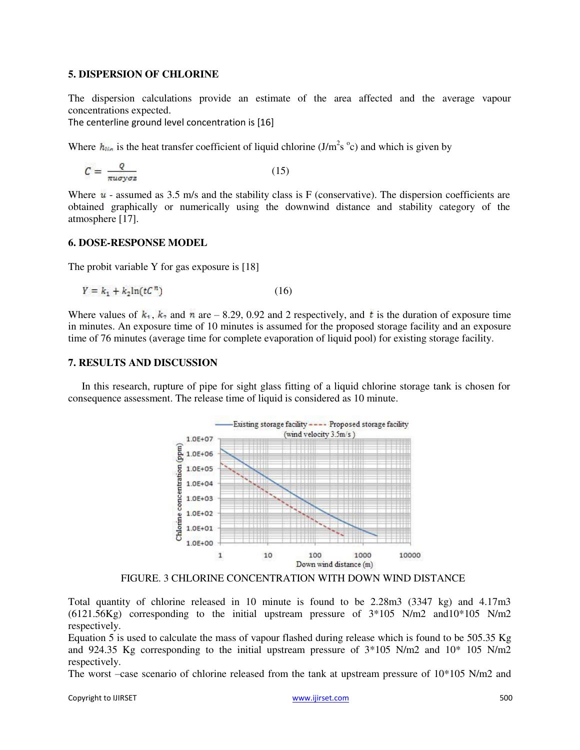#### **5. DISPERSION OF CHLORINE**

The dispersion calculations provide an estimate of the area affected and the average vapour concentrations expected.

The centerline ground level concentration is [16]

Where  $h_{lin}$  is the heat transfer coefficient of liquid chlorine (J/m<sup>2</sup>s °c) and which is given by

$$
C = \frac{Q}{\pi u \sigma y \sigma z} \tag{15}
$$

Where  $\mu$  - assumed as 3.5 m/s and the stability class is F (conservative). The dispersion coefficients are obtained graphically or numerically using the downwind distance and stability category of the atmosphere [17].

#### **6. DOSE-RESPONSE MODEL**

The probit variable Y for gas exposure is [18]

$$
Y = k_1 + k_2 \ln(tC^n) \tag{16}
$$

Where values of  $k_1$ ,  $k_2$  and n are – 8.29, 0.92 and 2 respectively, and t is the duration of exposure time in minutes. An exposure time of 10 minutes is assumed for the proposed storage facility and an exposure time of 76 minutes (average time for complete evaporation of liquid pool) for existing storage facility.

#### **7. RESULTS AND DISCUSSION**

In this research, rupture of pipe for sight glass fitting of a liquid chlorine storage tank is chosen for consequence assessment. The release time of liquid is considered as 10 minute.



FIGURE. 3 CHLORINE CONCENTRATION WITH DOWN WIND DISTANCE

Total quantity of chlorine released in 10 minute is found to be 2.28m3 (3347 kg) and 4.17m3  $(6121.56\text{Kg})$  corresponding to the initial upstream pressure of  $3*105$  N/m2 and  $10*105$  N/m2 respectively.

Equation 5 is used to calculate the mass of vapour flashed during release which is found to be 505.35 Kg and 924.35 Kg corresponding to the initial upstream pressure of 3\*105 N/m2 and 10\* 105 N/m2 respectively.

The worst –case scenario of chlorine released from the tank at upstream pressure of 10\*105 N/m2 and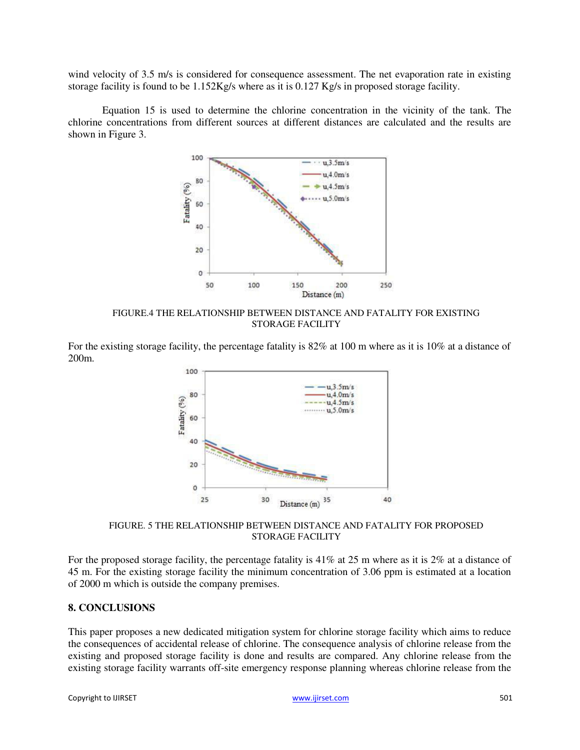wind velocity of 3.5 m/s is considered for consequence assessment. The net evaporation rate in existing storage facility is found to be 1.152Kg/s where as it is 0.127 Kg/s in proposed storage facility.

Equation 15 is used to determine the chlorine concentration in the vicinity of the tank. The chlorine concentrations from different sources at different distances are calculated and the results are shown in Figure 3.



FIGURE.4 THE RELATIONSHIP BETWEEN DISTANCE AND FATALITY FOR EXISTING STORAGE FACILITY

For the existing storage facility, the percentage fatality is 82% at 100 m where as it is 10% at a distance of 200m.



FIGURE. 5 THE RELATIONSHIP BETWEEN DISTANCE AND FATALITY FOR PROPOSED STORAGE FACILITY

For the proposed storage facility, the percentage fatality is 41% at 25 m where as it is 2% at a distance of 45 m. For the existing storage facility the minimum concentration of 3.06 ppm is estimated at a location of 2000 m which is outside the company premises.

#### **8. CONCLUSIONS**

This paper proposes a new dedicated mitigation system for chlorine storage facility which aims to reduce the consequences of accidental release of chlorine. The consequence analysis of chlorine release from the existing and proposed storage facility is done and results are compared. Any chlorine release from the existing storage facility warrants off-site emergency response planning whereas chlorine release from the